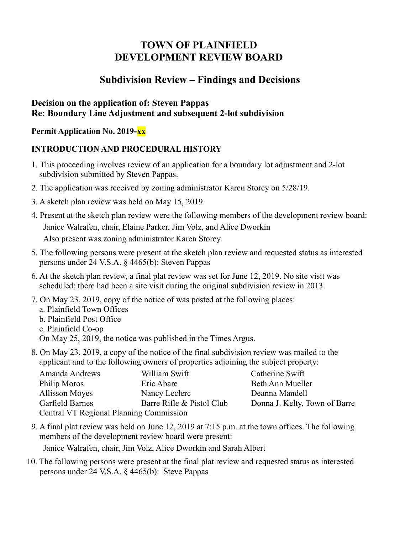# **TOWN OF PLAINFIELD DEVELOPMENT REVIEW BOARD**

## **Subdivision Review – Findings and Decisions**

#### **Decision on the application of: Steven Pappas Re: Boundary Line Adjustment and subsequent 2-lot subdivision**

**Permit Application No. 2019-xx**

### **INTRODUCTION AND PROCEDURAL HISTORY**

- 1. This proceeding involves review of an application for a boundary lot adjustment and 2-lot subdivision submitted by Steven Pappas.
- 2. The application was received by zoning administrator Karen Storey on 5/28/19.
- 3. A sketch plan review was held on May 15, 2019.
- 4. Present at the sketch plan review were the following members of the development review board: Janice Walrafen, chair, Elaine Parker, Jim Volz, and Alice Dworkin Also present was zoning administrator Karen Storey.
- 5. The following persons were present at the sketch plan review and requested status as interested persons under 24 V.S.A. § 4465(b): Steven Pappas
- 6. At the sketch plan review, a final plat review was set for June 12, 2019. No site visit was scheduled; there had been a site visit during the original subdivision review in 2013.
- 7. On May 23, 2019, copy of the notice of was posted at the following places:
	- a. Plainfield Town Offices
	- b. Plainfield Post Office
	- c. Plainfield Co-op
	- On May 25, 2019, the notice was published in the Times Argus.
- 8. On May 23, 2019, a copy of the notice of the final subdivision review was mailed to the applicant and to the following owners of properties adjoining the subject property:

| Amanda Andrews                          | William Swift             | Catherine Swift               |
|-----------------------------------------|---------------------------|-------------------------------|
| Philip Moros                            | Eric Abare                | Beth Ann Mueller              |
| Allisson Moyes                          | Nancy Leclerc             | Deanna Mandell                |
| Garfield Barnes                         | Barre Rifle & Pistol Club | Donna J. Kelty, Town of Barre |
| Central VT Regional Planning Commission |                           |                               |

9. A final plat review was held on June 12, 2019 at 7:15 p.m. at the town offices. The following members of the development review board were present:

Janice Walrafen, chair, Jim Volz, Alice Dworkin and Sarah Albert

10. The following persons were present at the final plat review and requested status as interested persons under 24 V.S.A. § 4465(b): Steve Pappas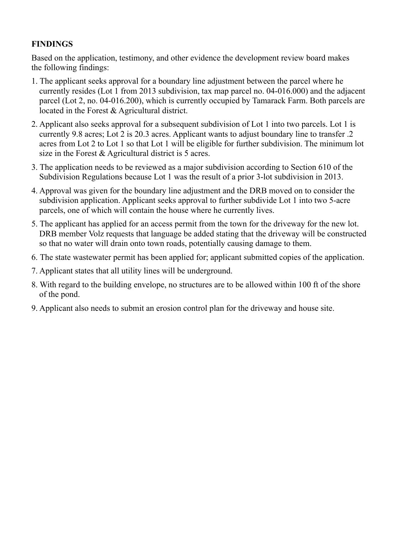### **FINDINGS**

Based on the application, testimony, and other evidence the development review board makes the following findings:

- 1. The applicant seeks approval for a boundary line adjustment between the parcel where he currently resides (Lot 1 from 2013 subdivision, tax map parcel no. 04-016.000) and the adjacent parcel (Lot 2, no. 04-016.200), which is currently occupied by Tamarack Farm. Both parcels are located in the Forest & Agricultural district.
- 2. Applicant also seeks approval for a subsequent subdivision of Lot 1 into two parcels. Lot 1 is currently 9.8 acres; Lot 2 is 20.3 acres. Applicant wants to adjust boundary line to transfer .2 acres from Lot 2 to Lot 1 so that Lot 1 will be eligible for further subdivision. The minimum lot size in the Forest & Agricultural district is 5 acres.
- 3. The application needs to be reviewed as a major subdivision according to Section 610 of the Subdivision Regulations because Lot 1 was the result of a prior 3-lot subdivision in 2013.
- 4. Approval was given for the boundary line adjustment and the DRB moved on to consider the subdivision application. Applicant seeks approval to further subdivide Lot 1 into two 5-acre parcels, one of which will contain the house where he currently lives.
- 5. The applicant has applied for an access permit from the town for the driveway for the new lot. DRB member Volz requests that language be added stating that the driveway will be constructed so that no water will drain onto town roads, potentially causing damage to them.
- 6. The state wastewater permit has been applied for; applicant submitted copies of the application.
- 7. Applicant states that all utility lines will be underground.
- 8. With regard to the building envelope, no structures are to be allowed within 100 ft of the shore of the pond.
- 9. Applicant also needs to submit an erosion control plan for the driveway and house site.